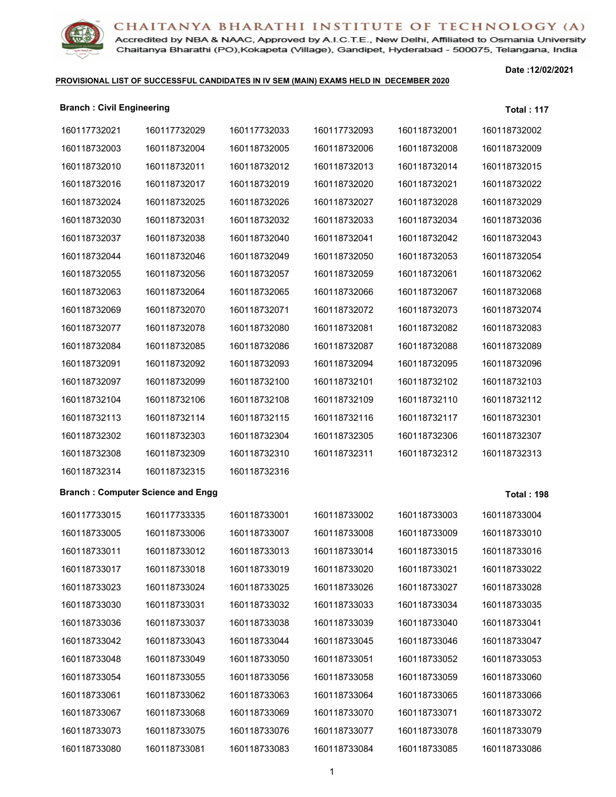Accredited by NBA & NAAC, Approved by A.I.C.T.E., New Delhi, Affiliated to Osmania University Chaitanya Bharathi (PO), Kokapeta (Village), Gandipet, Hyderabad - 500075, Telangana, India

### **PROVISIONAL LIST OF SUCCESSFUL CANDIDATES IN IV SEM (MAIN) EXAMS HELD IN DECEMBER 2020**

| <b>Branch: Civil Engineering</b> |                                          |              |              |              | <b>Total: 117</b> |
|----------------------------------|------------------------------------------|--------------|--------------|--------------|-------------------|
| 160117732021                     | 160117732029                             | 160117732033 | 160117732093 | 160118732001 | 160118732002      |
| 160118732003                     | 160118732004                             | 160118732005 | 160118732006 | 160118732008 | 160118732009      |
| 160118732010                     | 160118732011                             | 160118732012 | 160118732013 | 160118732014 | 160118732015      |
| 160118732016                     | 160118732017                             | 160118732019 | 160118732020 | 160118732021 | 160118732022      |
| 160118732024                     | 160118732025                             | 160118732026 | 160118732027 | 160118732028 | 160118732029      |
| 160118732030                     | 160118732031                             | 160118732032 | 160118732033 | 160118732034 | 160118732036      |
| 160118732037                     | 160118732038                             | 160118732040 | 160118732041 | 160118732042 | 160118732043      |
| 160118732044                     | 160118732046                             | 160118732049 | 160118732050 | 160118732053 | 160118732054      |
| 160118732055                     | 160118732056                             | 160118732057 | 160118732059 | 160118732061 | 160118732062      |
| 160118732063                     | 160118732064                             | 160118732065 | 160118732066 | 160118732067 | 160118732068      |
| 160118732069                     | 160118732070                             | 160118732071 | 160118732072 | 160118732073 | 160118732074      |
| 160118732077                     | 160118732078                             | 160118732080 | 160118732081 | 160118732082 | 160118732083      |
| 160118732084                     | 160118732085                             | 160118732086 | 160118732087 | 160118732088 | 160118732089      |
| 160118732091                     | 160118732092                             | 160118732093 | 160118732094 | 160118732095 | 160118732096      |
| 160118732097                     | 160118732099                             | 160118732100 | 160118732101 | 160118732102 | 160118732103      |
| 160118732104                     | 160118732106                             | 160118732108 | 160118732109 | 160118732110 | 160118732112      |
| 160118732113                     | 160118732114                             | 160118732115 | 160118732116 | 160118732117 | 160118732301      |
| 160118732302                     | 160118732303                             | 160118732304 | 160118732305 | 160118732306 | 160118732307      |
| 160118732308                     | 160118732309                             | 160118732310 | 160118732311 | 160118732312 | 160118732313      |
| 160118732314                     | 160118732315                             | 160118732316 |              |              |                   |
|                                  | <b>Branch: Computer Science and Engg</b> |              |              |              | <b>Total: 198</b> |
| 160117733015                     | 160117733335                             | 160118733001 | 160118733002 | 160118733003 | 160118733004      |
| 160118733005                     | 160118733006                             | 160118733007 | 160118733008 | 160118733009 | 160118733010      |
| 160118733011                     | 160118733012                             | 160118733013 | 160118733014 | 160118733015 | 160118733016      |
| 160118733017                     | 160118733018                             | 160118733019 | 160118733020 | 160118733021 | 160118733022      |
| 160118733023                     | 160118733024                             | 160118733025 | 160118733026 | 160118733027 | 160118733028      |
| 160118733030                     | 160118733031                             | 160118733032 | 160118733033 | 160118733034 | 160118733035      |
| 160118733036                     | 160118733037                             | 160118733038 | 160118733039 | 160118733040 | 160118733041      |
| 160118733042                     | 160118733043                             | 160118733044 | 160118733045 | 160118733046 | 160118733047      |
| 160118733048                     | 160118733049                             | 160118733050 | 160118733051 | 160118733052 | 160118733053      |
| 160118733054                     | 160118733055                             | 160118733056 | 160118733058 | 160118733059 | 160118733060      |
| 160118733061                     | 160118733062                             | 160118733063 | 160118733064 | 160118733065 | 160118733066      |
| 160118733067                     | 160118733068                             | 160118733069 | 160118733070 | 160118733071 | 160118733072      |
| 160118733073                     | 160118733075                             | 160118733076 | 160118733077 | 160118733078 | 160118733079      |
| 160118733080                     | 160118733081                             | 160118733083 | 160118733084 | 160118733085 | 160118733086      |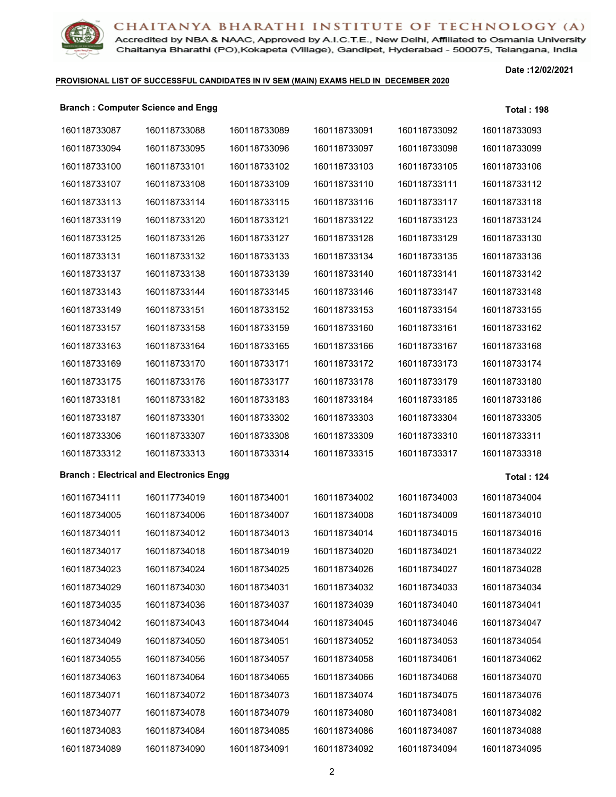

Accredited by NBA & NAAC, Approved by A.I.C.T.E., New Delhi, Affiliated to Osmania University Chaitanya Bharathi (PO), Kokapeta (Village), Gandipet, Hyderabad - 500075, Telangana, India

### **PROVISIONAL LIST OF SUCCESSFUL CANDIDATES IN IV SEM (MAIN) EXAMS HELD IN DECEMBER 2020**

**Date :12/02/2021**

### **Branch : Computer Science and Engg Total : 198**

| 160118733087 | 160118733088                                   | 160118733089 | 160118733091 | 160118733092 | 160118733093      |
|--------------|------------------------------------------------|--------------|--------------|--------------|-------------------|
| 160118733094 | 160118733095                                   | 160118733096 | 160118733097 | 160118733098 | 160118733099      |
| 160118733100 | 160118733101                                   | 160118733102 | 160118733103 | 160118733105 | 160118733106      |
| 160118733107 | 160118733108                                   | 160118733109 | 160118733110 | 160118733111 | 160118733112      |
| 160118733113 | 160118733114                                   | 160118733115 | 160118733116 | 160118733117 | 160118733118      |
| 160118733119 | 160118733120                                   | 160118733121 | 160118733122 | 160118733123 | 160118733124      |
| 160118733125 | 160118733126                                   | 160118733127 | 160118733128 | 160118733129 | 160118733130      |
| 160118733131 | 160118733132                                   | 160118733133 | 160118733134 | 160118733135 | 160118733136      |
| 160118733137 | 160118733138                                   | 160118733139 | 160118733140 | 160118733141 | 160118733142      |
| 160118733143 | 160118733144                                   | 160118733145 | 160118733146 | 160118733147 | 160118733148      |
| 160118733149 | 160118733151                                   | 160118733152 | 160118733153 | 160118733154 | 160118733155      |
| 160118733157 | 160118733158                                   | 160118733159 | 160118733160 | 160118733161 | 160118733162      |
| 160118733163 | 160118733164                                   | 160118733165 | 160118733166 | 160118733167 | 160118733168      |
| 160118733169 | 160118733170                                   | 160118733171 | 160118733172 | 160118733173 | 160118733174      |
| 160118733175 | 160118733176                                   | 160118733177 | 160118733178 | 160118733179 | 160118733180      |
| 160118733181 | 160118733182                                   | 160118733183 | 160118733184 | 160118733185 | 160118733186      |
| 160118733187 | 160118733301                                   | 160118733302 | 160118733303 | 160118733304 | 160118733305      |
| 160118733306 | 160118733307                                   | 160118733308 | 160118733309 | 160118733310 | 160118733311      |
| 160118733312 | 160118733313                                   | 160118733314 | 160118733315 | 160118733317 | 160118733318      |
|              | <b>Branch: Electrical and Electronics Engg</b> |              |              |              | <b>Total: 124</b> |
| 160116734111 | 160117734019                                   | 160118734001 | 160118734002 | 160118734003 | 160118734004      |
| 160118734005 | 160118734006                                   | 160118734007 | 160118734008 | 160118734009 | 160118734010      |
| 160118734011 | 160118734012                                   | 160118734013 | 160118734014 | 160118734015 | 160118734016      |
| 160118734017 | 160118734018                                   | 160118734019 | 160118734020 | 160118734021 | 160118734022      |
| 160118734023 | 160118734024                                   | 160118734025 | 160118734026 | 160118734027 | 160118734028      |
| 160118734029 | 160118734030                                   | 160118734031 | 160118734032 | 160118734033 | 160118734034      |
| 160118734035 | 160118734036                                   | 160118734037 | 160118734039 | 160118734040 | 160118734041      |
| 160118734042 | 160118734043                                   | 160118734044 | 160118734045 | 160118734046 | 160118734047      |
| 160118734049 | 160118734050                                   | 160118734051 | 160118734052 | 160118734053 | 160118734054      |
| 160118734055 | 160118734056                                   | 160118734057 | 160118734058 | 160118734061 | 160118734062      |
| 160118734063 | 160118734064                                   | 160118734065 | 160118734066 | 160118734068 | 160118734070      |
| 160118734071 | 160118734072                                   | 160118734073 | 160118734074 | 160118734075 | 160118734076      |
| 160118734077 | 160118734078                                   | 160118734079 | 160118734080 | 160118734081 | 160118734082      |
| 160118734083 | 160118734084                                   | 160118734085 | 160118734086 | 160118734087 | 160118734088      |
| 160118734089 | 160118734090                                   | 160118734091 | 160118734092 | 160118734094 | 160118734095      |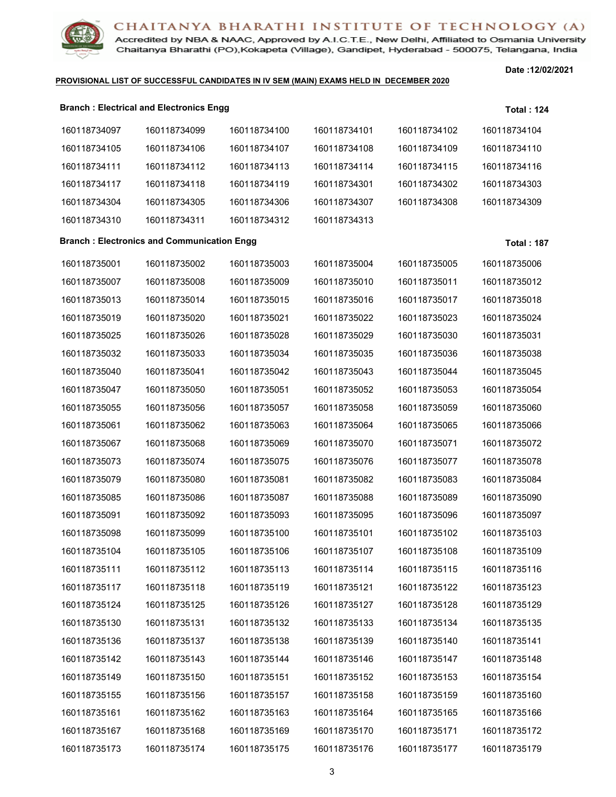Accredited by NBA & NAAC, Approved by A.I.C.T.E., New Delhi, Affiliated to Osmania University Chaitanya Bharathi (PO), Kokapeta (Village), Gandipet, Hyderabad - 500075, Telangana, India

### **PROVISIONAL LIST OF SUCCESSFUL CANDIDATES IN IV SEM (MAIN) EXAMS HELD IN DECEMBER 2020**

|              | <b>Branch: Electrical and Electronics Engg</b>    |              |              |              | <b>Total: 124</b>  |
|--------------|---------------------------------------------------|--------------|--------------|--------------|--------------------|
| 160118734097 | 160118734099                                      | 160118734100 | 160118734101 | 160118734102 | 160118734104       |
| 160118734105 | 160118734106                                      | 160118734107 | 160118734108 | 160118734109 | 160118734110       |
| 160118734111 | 160118734112                                      | 160118734113 | 160118734114 | 160118734115 | 160118734116       |
| 160118734117 | 160118734118                                      | 160118734119 | 160118734301 | 160118734302 | 160118734303       |
| 160118734304 | 160118734305                                      | 160118734306 | 160118734307 | 160118734308 | 160118734309       |
| 160118734310 | 160118734311                                      | 160118734312 | 160118734313 |              |                    |
|              | <b>Branch: Electronics and Communication Engg</b> |              |              |              | <b>Total : 187</b> |
| 160118735001 | 160118735002                                      | 160118735003 | 160118735004 | 160118735005 | 160118735006       |
| 160118735007 | 160118735008                                      | 160118735009 | 160118735010 | 160118735011 | 160118735012       |
| 160118735013 | 160118735014                                      | 160118735015 | 160118735016 | 160118735017 | 160118735018       |
| 160118735019 | 160118735020                                      | 160118735021 | 160118735022 | 160118735023 | 160118735024       |
| 160118735025 | 160118735026                                      | 160118735028 | 160118735029 | 160118735030 | 160118735031       |
| 160118735032 | 160118735033                                      | 160118735034 | 160118735035 | 160118735036 | 160118735038       |
| 160118735040 | 160118735041                                      | 160118735042 | 160118735043 | 160118735044 | 160118735045       |
| 160118735047 | 160118735050                                      | 160118735051 | 160118735052 | 160118735053 | 160118735054       |
| 160118735055 | 160118735056                                      | 160118735057 | 160118735058 | 160118735059 | 160118735060       |
| 160118735061 | 160118735062                                      | 160118735063 | 160118735064 | 160118735065 | 160118735066       |
| 160118735067 | 160118735068                                      | 160118735069 | 160118735070 | 160118735071 | 160118735072       |
| 160118735073 | 160118735074                                      | 160118735075 | 160118735076 | 160118735077 | 160118735078       |
| 160118735079 | 160118735080                                      | 160118735081 | 160118735082 | 160118735083 | 160118735084       |
| 160118735085 | 160118735086                                      | 160118735087 | 160118735088 | 160118735089 | 160118735090       |
| 160118735091 | 160118735092                                      | 160118735093 | 160118735095 | 160118735096 | 160118735097       |
| 160118735098 | 160118735099                                      | 160118735100 | 160118735101 | 160118735102 | 160118735103       |
| 160118735104 | 160118735105                                      | 160118735106 | 160118735107 | 160118735108 | 160118735109       |
| 160118735111 | 160118735112                                      | 160118735113 | 160118735114 | 160118735115 | 160118735116       |
| 160118735117 | 160118735118                                      | 160118735119 | 160118735121 | 160118735122 | 160118735123       |
| 160118735124 | 160118735125                                      | 160118735126 | 160118735127 | 160118735128 | 160118735129       |
| 160118735130 | 160118735131                                      | 160118735132 | 160118735133 | 160118735134 | 160118735135       |
| 160118735136 | 160118735137                                      | 160118735138 | 160118735139 | 160118735140 | 160118735141       |
| 160118735142 | 160118735143                                      | 160118735144 | 160118735146 | 160118735147 | 160118735148       |
| 160118735149 | 160118735150                                      | 160118735151 | 160118735152 | 160118735153 | 160118735154       |
| 160118735155 | 160118735156                                      | 160118735157 | 160118735158 | 160118735159 | 160118735160       |
| 160118735161 | 160118735162                                      | 160118735163 | 160118735164 | 160118735165 | 160118735166       |
| 160118735167 | 160118735168                                      | 160118735169 | 160118735170 | 160118735171 | 160118735172       |
| 160118735173 | 160118735174                                      | 160118735175 | 160118735176 | 160118735177 | 160118735179       |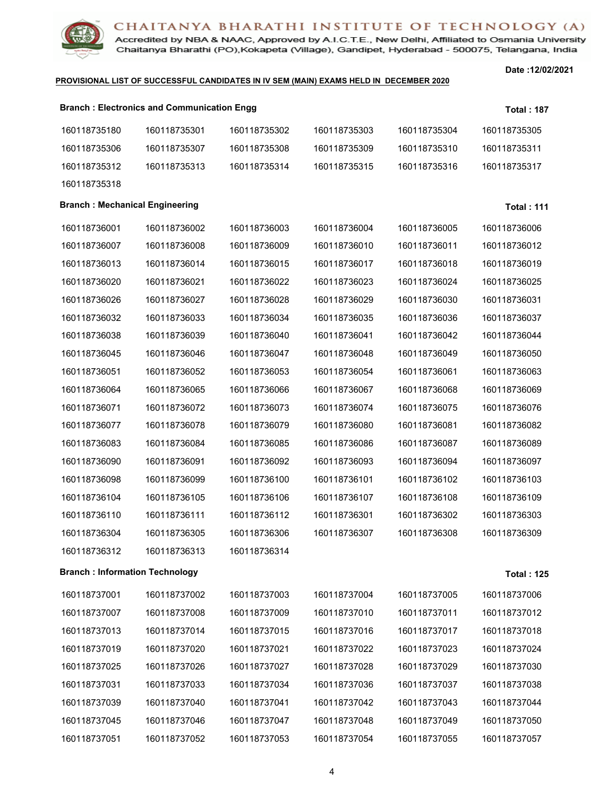

Accredited by NBA & NAAC, Approved by A.I.C.T.E., New Delhi, Affiliated to Osmania University Chaitanya Bharathi (PO), Kokapeta (Village), Gandipet, Hyderabad - 500075, Telangana, India

### **PROVISIONAL LIST OF SUCCESSFUL CANDIDATES IN IV SEM (MAIN) EXAMS HELD IN DECEMBER 2020**

|                                        | <b>Branch: Electronics and Communication Engg</b> |              |              |              | <b>Total: 187</b> |
|----------------------------------------|---------------------------------------------------|--------------|--------------|--------------|-------------------|
| 160118735180                           | 160118735301                                      | 160118735302 | 160118735303 | 160118735304 | 160118735305      |
| 160118735306                           | 160118735307                                      | 160118735308 | 160118735309 | 160118735310 | 160118735311      |
| 160118735312                           | 160118735313                                      | 160118735314 | 160118735315 | 160118735316 | 160118735317      |
| 160118735318                           |                                                   |              |              |              |                   |
| <b>Branch: Mechanical Engineering</b>  |                                                   |              |              |              | <b>Total: 111</b> |
| 160118736001                           | 160118736002                                      | 160118736003 | 160118736004 | 160118736005 | 160118736006      |
| 160118736007                           | 160118736008                                      | 160118736009 | 160118736010 | 160118736011 | 160118736012      |
| 160118736013                           | 160118736014                                      | 160118736015 | 160118736017 | 160118736018 | 160118736019      |
| 160118736020                           | 160118736021                                      | 160118736022 | 160118736023 | 160118736024 | 160118736025      |
| 160118736026                           | 160118736027                                      | 160118736028 | 160118736029 | 160118736030 | 160118736031      |
| 160118736032                           | 160118736033                                      | 160118736034 | 160118736035 | 160118736036 | 160118736037      |
| 160118736038                           | 160118736039                                      | 160118736040 | 160118736041 | 160118736042 | 160118736044      |
| 160118736045                           | 160118736046                                      | 160118736047 | 160118736048 | 160118736049 | 160118736050      |
| 160118736051                           | 160118736052                                      | 160118736053 | 160118736054 | 160118736061 | 160118736063      |
| 160118736064                           | 160118736065                                      | 160118736066 | 160118736067 | 160118736068 | 160118736069      |
| 160118736071                           | 160118736072                                      | 160118736073 | 160118736074 | 160118736075 | 160118736076      |
| 160118736077                           | 160118736078                                      | 160118736079 | 160118736080 | 160118736081 | 160118736082      |
| 160118736083                           | 160118736084                                      | 160118736085 | 160118736086 | 160118736087 | 160118736089      |
| 160118736090                           | 160118736091                                      | 160118736092 | 160118736093 | 160118736094 | 160118736097      |
| 160118736098                           | 160118736099                                      | 160118736100 | 160118736101 | 160118736102 | 160118736103      |
| 160118736104                           | 160118736105                                      | 160118736106 | 160118736107 | 160118736108 | 160118736109      |
| 160118736110                           | 160118736111                                      | 160118736112 | 160118736301 | 160118736302 | 160118736303      |
| 160118736304                           | 160118736305                                      | 160118736306 | 160118736307 | 160118736308 | 160118736309      |
| 160118736312                           | 160118736313                                      | 160118736314 |              |              |                   |
| <b>Branch : Information Technology</b> |                                                   |              |              |              | <b>Total: 125</b> |
| 160118737001                           | 160118737002                                      | 160118737003 | 160118737004 | 160118737005 | 160118737006      |
| 160118737007                           | 160118737008                                      | 160118737009 | 160118737010 | 160118737011 | 160118737012      |
| 160118737013                           | 160118737014                                      | 160118737015 | 160118737016 | 160118737017 | 160118737018      |
| 160118737019                           | 160118737020                                      | 160118737021 | 160118737022 | 160118737023 | 160118737024      |
| 160118737025                           | 160118737026                                      | 160118737027 | 160118737028 | 160118737029 | 160118737030      |
| 160118737031                           | 160118737033                                      | 160118737034 | 160118737036 | 160118737037 | 160118737038      |
| 160118737039                           | 160118737040                                      | 160118737041 | 160118737042 | 160118737043 | 160118737044      |
| 160118737045                           | 160118737046                                      | 160118737047 | 160118737048 | 160118737049 | 160118737050      |
| 160118737051                           | 160118737052                                      | 160118737053 | 160118737054 | 160118737055 | 160118737057      |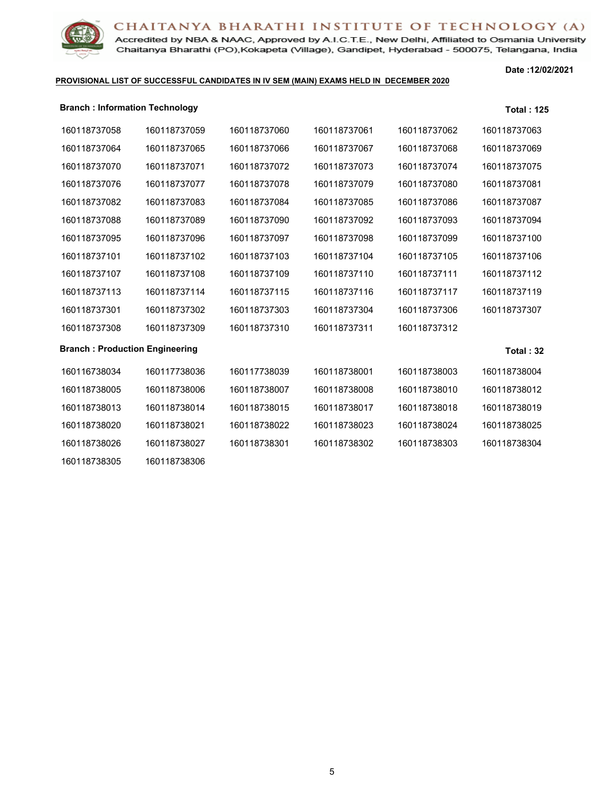

160118738306

Accredited by NBA & NAAC, Approved by A.I.C.T.E., New Delhi, Affiliated to Osmania University Chaitanya Bharathi (PO), Kokapeta (Village), Gandipet, Hyderabad - 500075, Telangana, India

### **PROVISIONAL LIST OF SUCCESSFUL CANDIDATES IN IV SEM (MAIN) EXAMS HELD IN DECEMBER 2020**

| <b>Branch: Information Technology</b> |              |              |              |              | <b>Total: 125</b> |
|---------------------------------------|--------------|--------------|--------------|--------------|-------------------|
| 160118737058                          | 160118737059 | 160118737060 | 160118737061 | 160118737062 | 160118737063      |
| 160118737064                          | 160118737065 | 160118737066 | 160118737067 | 160118737068 | 160118737069      |
| 160118737070                          | 160118737071 | 160118737072 | 160118737073 | 160118737074 | 160118737075      |
| 160118737076                          | 160118737077 | 160118737078 | 160118737079 | 160118737080 | 160118737081      |
| 160118737082                          | 160118737083 | 160118737084 | 160118737085 | 160118737086 | 160118737087      |
| 160118737088                          | 160118737089 | 160118737090 | 160118737092 | 160118737093 | 160118737094      |
| 160118737095                          | 160118737096 | 160118737097 | 160118737098 | 160118737099 | 160118737100      |
| 160118737101                          | 160118737102 | 160118737103 | 160118737104 | 160118737105 | 160118737106      |
| 160118737107                          | 160118737108 | 160118737109 | 160118737110 | 160118737111 | 160118737112      |
| 160118737113                          | 160118737114 | 160118737115 | 160118737116 | 160118737117 | 160118737119      |
| 160118737301                          | 160118737302 | 160118737303 | 160118737304 | 160118737306 | 160118737307      |
| 160118737308                          | 160118737309 | 160118737310 | 160118737311 | 160118737312 |                   |
| <b>Branch: Production Engineering</b> |              |              |              |              | Total: $32$       |
| 160116738034                          | 160117738036 | 160117738039 | 160118738001 | 160118738003 | 160118738004      |
| 160118738005                          | 160118738006 | 160118738007 | 160118738008 | 160118738010 | 160118738012      |
| 160118738013                          | 160118738014 | 160118738015 | 160118738017 | 160118738018 | 160118738019      |
| 160118738020                          | 160118738021 | 160118738022 | 160118738023 | 160118738024 | 160118738025      |
| 160118738026                          | 160118738027 | 160118738301 | 160118738302 | 160118738303 | 160118738304      |
|                                       |              |              |              |              |                   |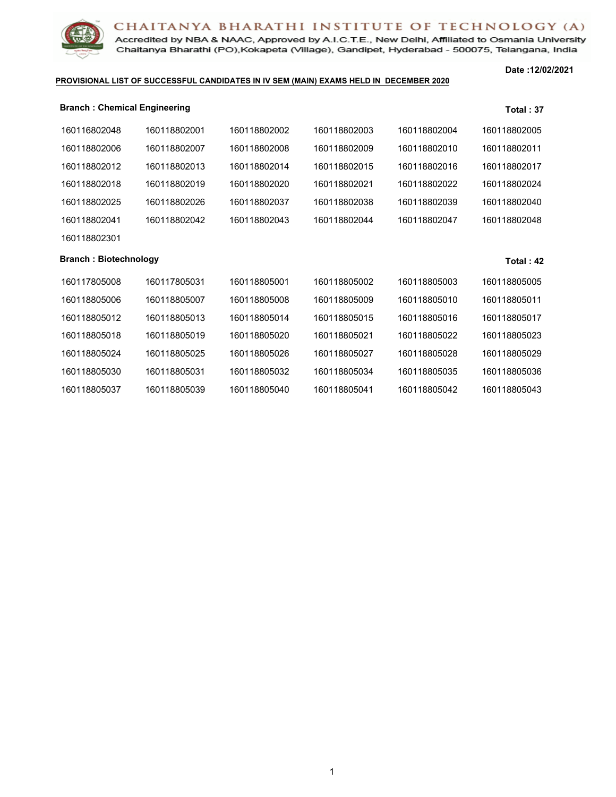Accredited by NBA & NAAC, Approved by A.I.C.T.E., New Delhi, Affiliated to Osmania University Chaitanya Bharathi (PO), Kokapeta (Village), Gandipet, Hyderabad - 500075, Telangana, India

### **PROVISIONAL LIST OF SUCCESSFUL CANDIDATES IN IV SEM (MAIN) EXAMS HELD IN DECEMBER 2020**

| <b>Branch: Chemical Engineering</b> |              |              |              |              | Total: 37    |
|-------------------------------------|--------------|--------------|--------------|--------------|--------------|
| 160116802048                        | 160118802001 | 160118802002 | 160118802003 | 160118802004 | 160118802005 |
| 160118802006                        | 160118802007 | 160118802008 | 160118802009 | 160118802010 | 160118802011 |
| 160118802012                        | 160118802013 | 160118802014 | 160118802015 | 160118802016 | 160118802017 |
| 160118802018                        | 160118802019 | 160118802020 | 160118802021 | 160118802022 | 160118802024 |
| 160118802025                        | 160118802026 | 160118802037 | 160118802038 | 160118802039 | 160118802040 |
| 160118802041                        | 160118802042 | 160118802043 | 160118802044 | 160118802047 | 160118802048 |
| 160118802301                        |              |              |              |              |              |
| <b>Branch: Biotechnology</b>        |              |              |              |              | Total: $42$  |
| 160117805008                        | 160117805031 | 160118805001 | 160118805002 | 160118805003 | 160118805005 |
| 160118805006                        | 160118805007 | 160118805008 | 160118805009 | 160118805010 | 160118805011 |
| 160118805012                        | 160118805013 | 160118805014 | 160118805015 | 160118805016 | 160118805017 |
| 160118805018                        | 160118805019 | 160118805020 | 160118805021 | 160118805022 | 160118805023 |
| 160118805024                        | 160118805025 | 160118805026 | 160118805027 | 160118805028 | 160118805029 |
| 160118805030                        | 160118805031 | 160118805032 | 160118805034 | 160118805035 | 160118805036 |
| 160118805037                        | 160118805039 | 160118805040 | 160118805041 | 160118805042 | 160118805043 |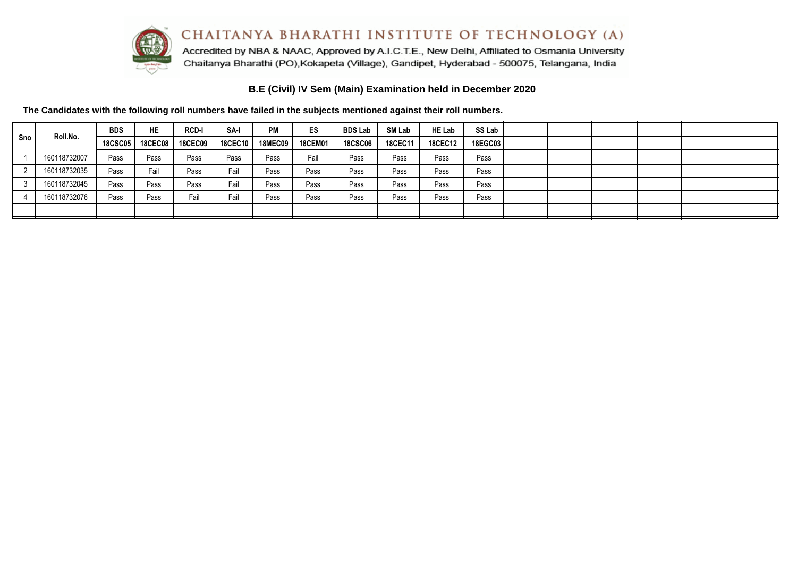

Accredited by NBA & NAAC, Approved by A.I.C.T.E., New Delhi, Affiliated to Osmania University Chaitanya Bharathi (PO), Kokapeta (Village), Gandipet, Hyderabad - 500075, Telangana, India

**B.E (Civil) IV Sem (Main) Examination held in December 2020**

|     | Roll.No.     | <b>BDS</b> | <b>HE</b> | <b>RCD-I</b>   | SA-I    | <b>PM</b> | ES             | <b>BDS Lab</b> | <b>SM Lab</b>  | <b>HE Lab</b>  | SS Lab  |  |  |  |
|-----|--------------|------------|-----------|----------------|---------|-----------|----------------|----------------|----------------|----------------|---------|--|--|--|
| Sno |              | 18CSC05    | 18CEC08   | <b>18CEC09</b> | 18CEC10 | 18MEC09   | <b>18CEM01</b> | <b>18CSC06</b> | <b>18CEC11</b> | <b>18CEC12</b> | 18EGC03 |  |  |  |
|     | 160118732007 | Pass       | Pass      | Pass           | Pass    | Pass      | Fail           | Pass           | Pass           | Pass           | Pass    |  |  |  |
|     | 160118732035 | Pass       | Fail      | Pass           | Fail    | Pass      | Pass           | Pass           | Pass           | Pass           | Pass    |  |  |  |
|     | 160118732045 | Pass       | Pass      | Pass           | Fail    | Pass      | Pass           | Pass           | Pass           | Pass           | Pass    |  |  |  |
|     | 160118732076 | Pass       | Pass      | Fail           | Fail    | Pass      | Pass           | Pass           | Pass           | Pass           | Pass    |  |  |  |
|     |              |            |           |                |         |           |                |                |                |                |         |  |  |  |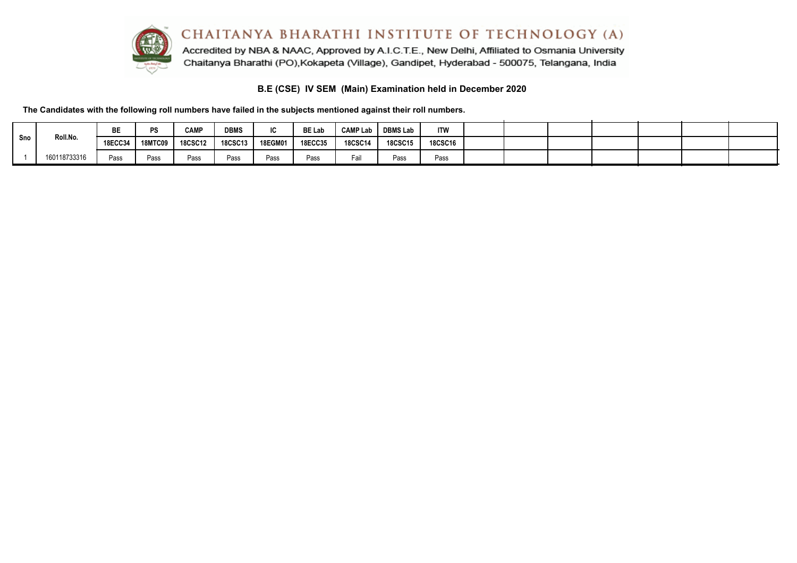

## **B.E (CSE) IV SEM (Main) Examination held in December 2020**

|     |              | BE             | ne             | <b>CAMP</b>    | <b>DBMS</b>    | $\sim$<br>טו | <b>BE Lab</b>  | <b>CAMP Lab</b> | <b>DBMS Lab</b> | <b>ITW</b>     |  |  |  |  |
|-----|--------------|----------------|----------------|----------------|----------------|--------------|----------------|-----------------|-----------------|----------------|--|--|--|--|
| Sno | Roll.No.     | <b>18ECC34</b> | <b>18MTC09</b> | <b>18CSC12</b> | <b>18CSC13</b> | 18EGM01      | <b>18ECC35</b> | <b>18CSC14</b>  | <b>18CSC15</b>  | <b>18CSC16</b> |  |  |  |  |
|     | 160118733316 | Pass           | Pass           | Pass           | Pass           | Pass         | Pass           | Fail            | Pass            | Pass           |  |  |  |  |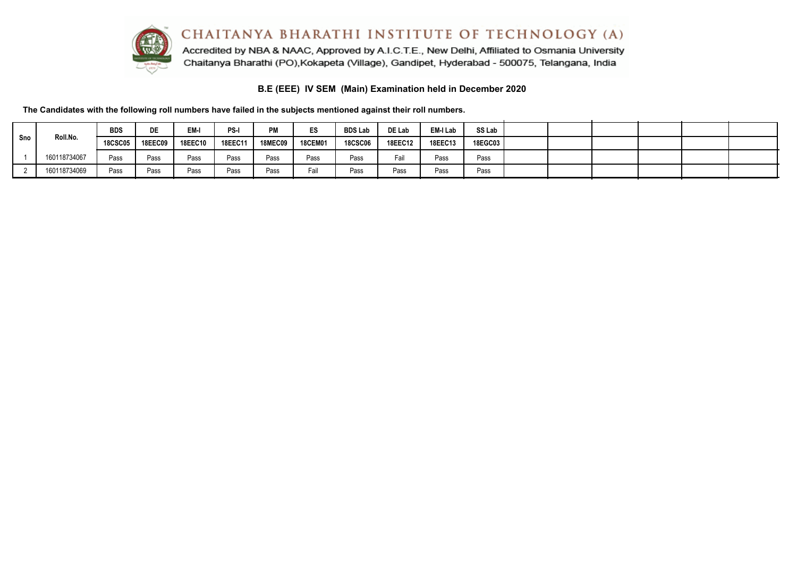

Accredited by NBA & NAAC, Approved by A.I.C.T.E., New Delhi, Affiliated to Osmania University Chaitanya Bharathi (PO), Kokapeta (Village), Gandipet, Hyderabad - 500075, Telangana, India

## **B.E (EEE) IV SEM (Main) Examination held in December 2020**

|     |              | <b>BDS</b>     | <b>DE</b>      | EM-            | PS-     | PM             | ES             | <b>BDS Lab</b> | DE Lab         | EM-I Lab | SS Lab  |  |  |  |
|-----|--------------|----------------|----------------|----------------|---------|----------------|----------------|----------------|----------------|----------|---------|--|--|--|
| Sno | Roll.No.     | <b>18CSC05</b> | <b>18EEC09</b> | <b>18EEC10</b> | 18EEC11 | <b>18MEC09</b> | <b>18CEM01</b> | <b>18CSC06</b> | <b>18EEC12</b> | 18EEC13  | 18EGC03 |  |  |  |
|     | 160118734067 | Pass           | Pass           | Pass           | Pass    | Pass           | Pass           | Pass           | Fail           | Pass     | Pass    |  |  |  |
|     | 160118734069 | Pass           | Pass           | Pass           | Pass    | Pass           | Fail           | Pass           | Pass           | Pass     | Pass    |  |  |  |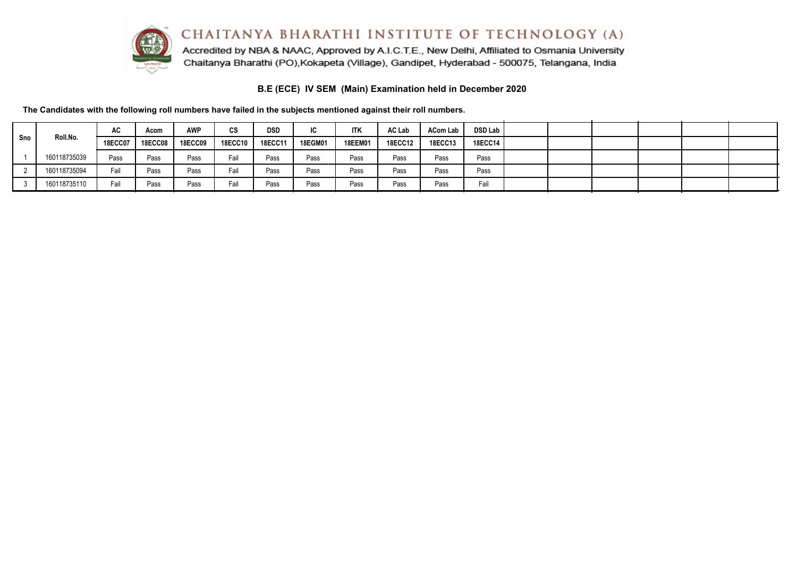

Accredited by NBA & NAAC, Approved by A.I.C.T.E., New Delhi, Affiliated to Osmania University Chaitanya Bharathi (PO), Kokapeta (Village), Gandipet, Hyderabad - 500075, Telangana, India

## **B.E (ECE) IV SEM (Main) Examination held in December 2020**

|     |              | AC             | Acom           | <b>AWP</b>     | <b>CS</b>      | <b>DSD</b>     | IС             | <b>ITK</b>     | AC Lab         | <b>ACom Lab</b> | <b>DSD Lab</b> |  |  |  |
|-----|--------------|----------------|----------------|----------------|----------------|----------------|----------------|----------------|----------------|-----------------|----------------|--|--|--|
| Sno | Roll.No.     | <b>18ECC07</b> | <b>18ECC08</b> | <b>18ECC09</b> | <b>18ECC10</b> | <b>18ECC11</b> | <b>18EGM01</b> | <b>18EEM01</b> | <b>18ECC12</b> | <b>18ECC13</b>  | 18ECC14        |  |  |  |
|     | 160118735039 | Pass           | Pass           | Pass           | Fail           | Pass           | Pass           | Pass           | Pass           | Pass            | Pass           |  |  |  |
|     | 160118735094 | Fail           | Pass           | Pass           | Fail           | Pass           | Pass           | Pass           | Pass           | Pass            | Pass           |  |  |  |
|     | 160118735110 | Fail           | Pass           | Pass           | Fail           | Pass           | Pass           | Pass           | Pass           | Pass            | Fail           |  |  |  |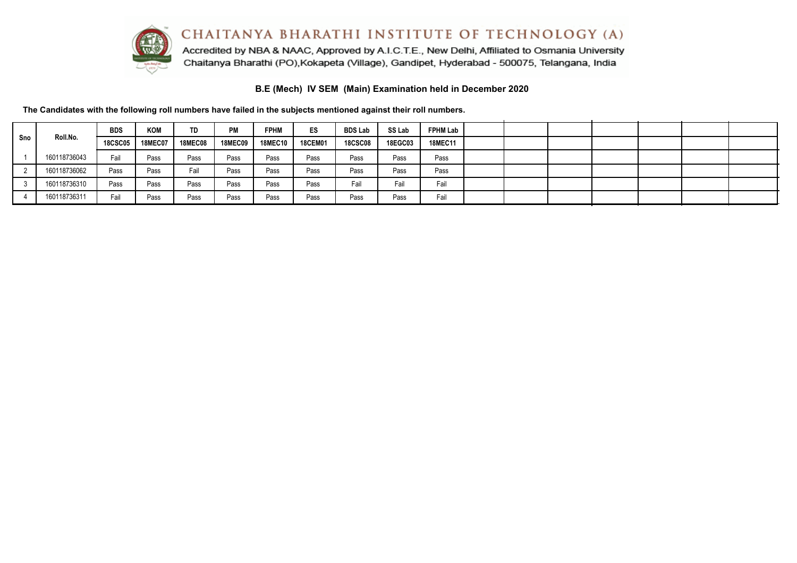

Accredited by NBA & NAAC, Approved by A.I.C.T.E., New Delhi, Affiliated to Osmania University Chaitanya Bharathi (PO), Kokapeta (Village), Gandipet, Hyderabad - 500075, Telangana, India

**B.E (Mech) IV SEM (Main) Examination held in December 2020**

|     |              | <b>BDS</b>     | <b>KOM</b>     | TD             | PM             | <b>FPHM</b>    | ES             | <b>BDS Lab</b> | SS Lab         | <b>FPHM Lab</b> |  |  |  |  |
|-----|--------------|----------------|----------------|----------------|----------------|----------------|----------------|----------------|----------------|-----------------|--|--|--|--|
| Sno | Roll.No.     | <b>18CSC05</b> | <b>18MEC07</b> | <b>18MEC08</b> | <b>18MEC09</b> | <b>18MEC10</b> | <b>18CEM01</b> | <b>18CSC08</b> | <b>18EGC03</b> | <b>18MEC11</b>  |  |  |  |  |
|     | 160118736043 | Fail           | Pass           | Pass           | Pass           | Pass           | Pass           | Pass           | Pass           | Pass            |  |  |  |  |
|     | 160118736062 | Pass           | Pass           | Fail           | Pass           | Pass           | Pass           | Pass           | Pass           | Pass            |  |  |  |  |
|     | 160118736310 | Pass           | Pass           | Pass           | Pass           | Pass           | Pass           | Fail           | Fail           | Fail            |  |  |  |  |
|     | 160118736311 | Fail           | Pass           | Pass           | Pass           | Pass           | Pass           | Pass           | Pass           | Fail            |  |  |  |  |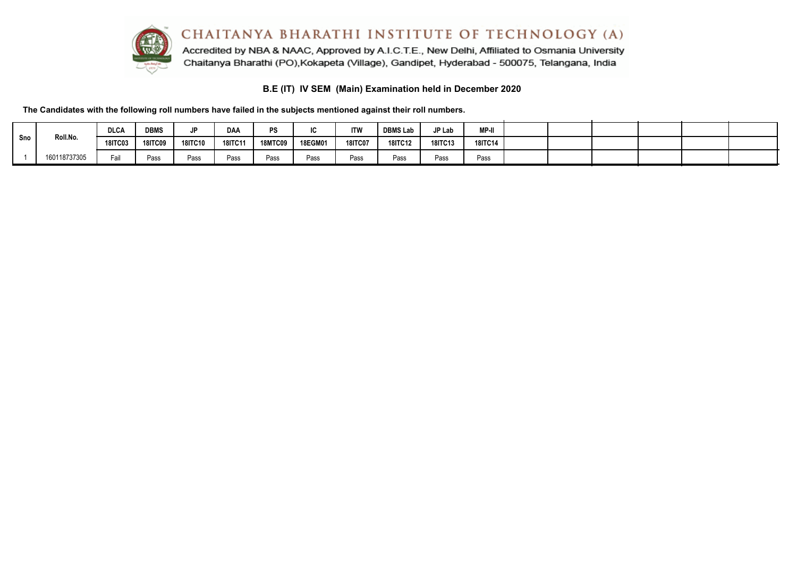

Accredited by NBA & NAAC, Approved by A.I.C.T.E., New Delhi, Affiliated to Osmania University Chaitanya Bharathi (PO), Kokapeta (Village), Gandipet, Hyderabad - 500075, Telangana, India

# **B.E (IT) IV SEM (Main) Examination held in December 2020**

|     |              | <b>DLCA</b>    | <b>DBMS</b>    | JP             | <b>DAA</b>     | <b>PS</b>      |         | <b>ITW</b>     | <b>DBMS Lab</b> | IP Lab  | <b>MP-II</b>   |  |  |  |
|-----|--------------|----------------|----------------|----------------|----------------|----------------|---------|----------------|-----------------|---------|----------------|--|--|--|
| Sno | Roll.No.     | <b>18ITC03</b> | <b>18ITC09</b> | <b>18ITC10</b> | <b>18ITC11</b> | <b>18MTC09</b> | 18EGM01 | <b>18ITC07</b> | <b>18ITC12</b>  | 18ITC13 | <b>18ITC14</b> |  |  |  |
|     | 160118737305 | Fail           | Pass           | Pass           | Pass           | Pass           | Pass    | Pass           | Pass            | Pass    | Pass           |  |  |  |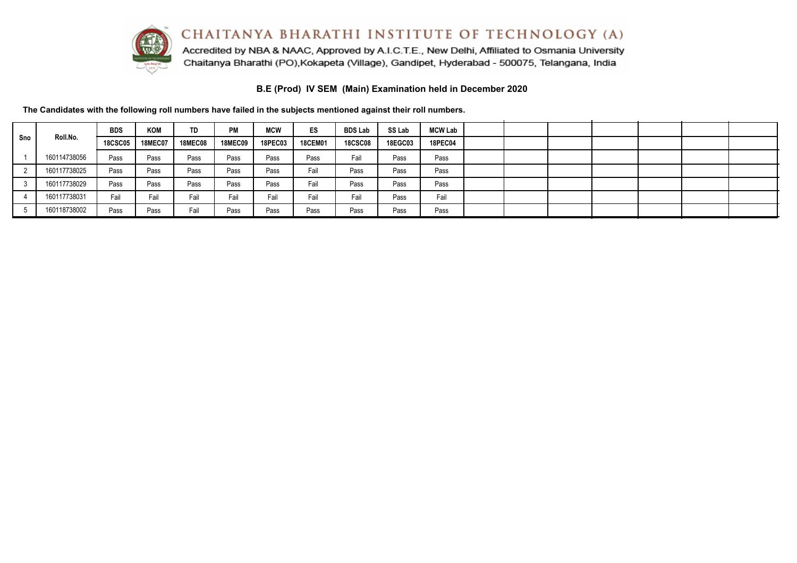

Accredited by NBA & NAAC, Approved by A.I.C.T.E., New Delhi, Affiliated to Osmania University Chaitanya Bharathi (PO), Kokapeta (Village), Gandipet, Hyderabad - 500075, Telangana, India

**B.E (Prod) IV SEM (Main) Examination held in December 2020**

| Sno | Roll.No.     | <b>BDS</b>     | <b>KOM</b>     | TD             | PМ             | <b>MCW</b>     | ES             | <b>BDS Lab</b> | SS Lab         | <b>MCW Lab</b> |  |  |  |  |
|-----|--------------|----------------|----------------|----------------|----------------|----------------|----------------|----------------|----------------|----------------|--|--|--|--|
|     |              | <b>18CSC05</b> | <b>18MEC07</b> | <b>18MEC08</b> | <b>18MEC09</b> | <b>18PEC03</b> | <b>18CEM01</b> | <b>18CSC08</b> | <b>18EGC03</b> | <b>18PEC04</b> |  |  |  |  |
|     | 160114738056 | Pass           | Pass           | Pass           | Pass           | Pass           | Pass           | Fail           | Pass           | Pass           |  |  |  |  |
|     | 160117738025 | Pass           | Pass           | Pass           | Pass           | Pass           | Fail           | Pass           | Pass           | Pass           |  |  |  |  |
|     | 160117738029 | Pass           | Pass           | Pass           | Pass           | Pass           | Fail           | Pass           | Pass           | Pass           |  |  |  |  |
|     | 160117738031 | Fail           | Fail           | Fail           | Fail           | Fail           | Fail           | Fail           | Pass           | Fail           |  |  |  |  |
|     | 160118738002 | Pass           | Pass           | Fail           | Pass           | Pass           | Pass           | Pass           | Pass           | Pass           |  |  |  |  |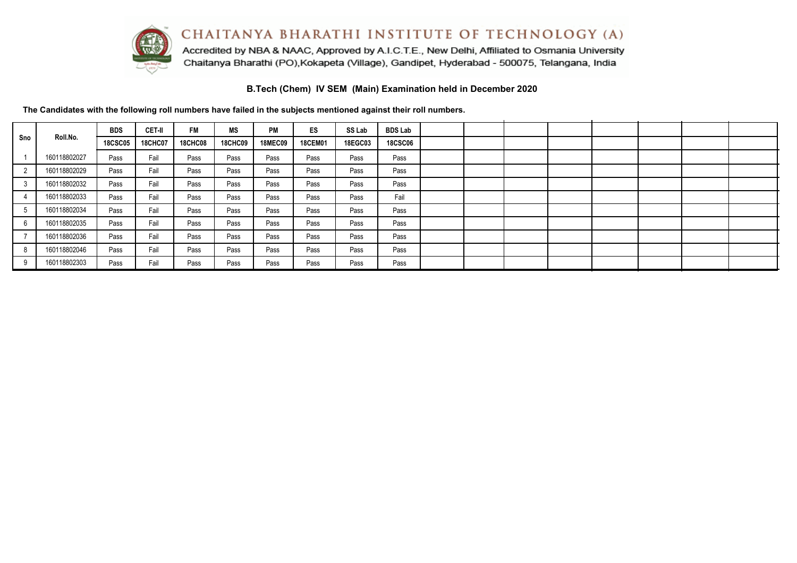

Accredited by NBA & NAAC, Approved by A.I.C.T.E., New Delhi, Affiliated to Osmania University Chaitanya Bharathi (PO), Kokapeta (Village), Gandipet, Hyderabad - 500075, Telangana, India

**B.Tech (Chem) IV SEM (Main) Examination held in December 2020**

| Sno |              | <b>BDS</b>     | CET-II         | <b>FM</b>      | <b>MS</b>      | PM             | <b>ES</b>      | SS Lab         | <b>BDS Lab</b> |  |  |  |  |
|-----|--------------|----------------|----------------|----------------|----------------|----------------|----------------|----------------|----------------|--|--|--|--|
|     | Roll.No.     | <b>18CSC05</b> | <b>18CHC07</b> | <b>18CHC08</b> | <b>18CHC09</b> | <b>18MEC09</b> | <b>18CEM01</b> | <b>18EGC03</b> | <b>18CSC06</b> |  |  |  |  |
|     | 160118802027 | Pass           | Fail           | Pass           | Pass           | Pass           | Pass           | Pass           | Pass           |  |  |  |  |
|     | 160118802029 | Pass           | Fail           | Pass           | Pass           | Pass           | Pass           | Pass           | Pass           |  |  |  |  |
|     | 160118802032 | Pass           | Fail           | Pass           | Pass           | Pass           | Pass           | Pass           | Pass           |  |  |  |  |
|     | 160118802033 | Pass           | Fail           | Pass           | Pass           | Pass           | Pass           | Pass           | Fail           |  |  |  |  |
|     | 160118802034 | Pass           | Fail           | Pass           | Pass           | Pass           | Pass           | Pass           | Pass           |  |  |  |  |
| 6   | 160118802035 | Pass           | Fail           | Pass           | Pass           | Pass           | Pass           | Pass           | Pass           |  |  |  |  |
|     | 160118802036 | Pass           | Fail           | Pass           | Pass           | Pass           | Pass           | Pass           | Pass           |  |  |  |  |
| 8   | 160118802046 | Pass           | Fail           | Pass           | Pass           | Pass           | Pass           | Pass           | Pass           |  |  |  |  |
|     | 160118802303 | Pass           | Fail           | Pass           | Pass           | Pass           | Pass           | Pass           | Pass           |  |  |  |  |